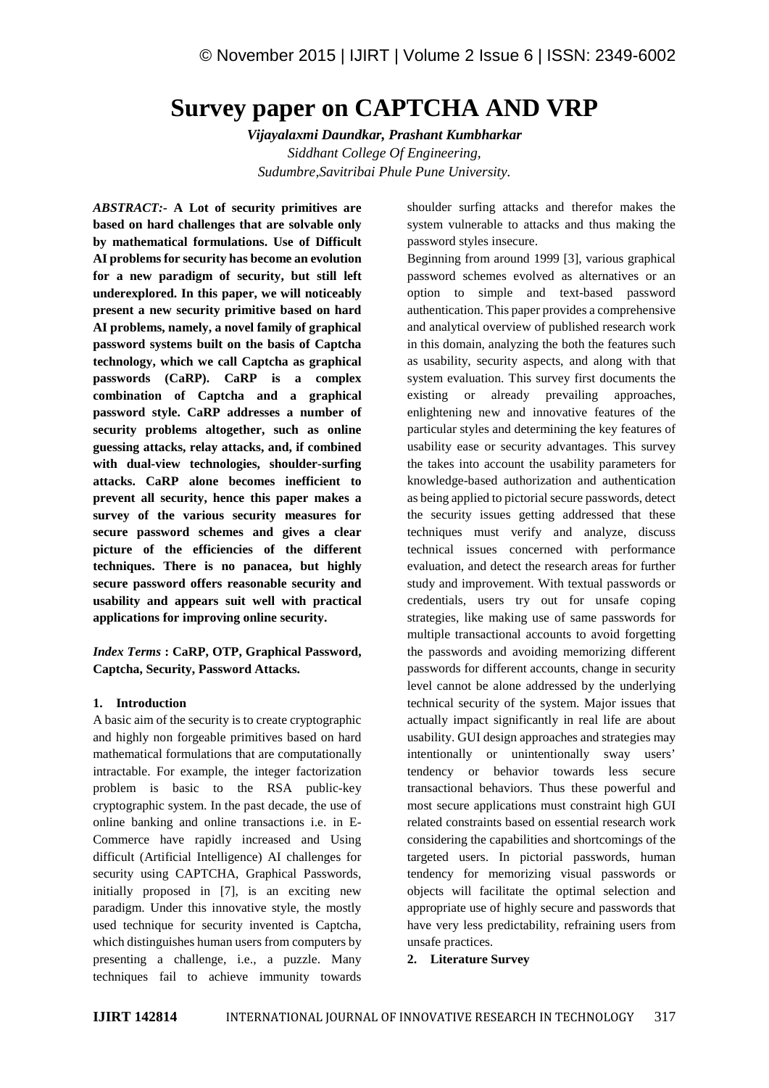# **Survey paper on CAPTCHA AND VRP**

*Vijayalaxmi Daundkar, Prashant Kumbharkar Siddhant College Of Engineering, Sudumbre,Savitribai Phule Pune University.*

*ABSTRACT:-* **A Lot of security primitives are based on hard challenges that are solvable only by mathematical formulations. Use of Difficult AI problems for security has become an evolution for a new paradigm of security, but still left underexplored. In this paper, we will noticeably present a new security primitive based on hard AI problems, namely, a novel family of graphical password systems built on the basis of Captcha technology, which we call Captcha as graphical passwords (CaRP). CaRP is a complex combination of Captcha and a graphical password style. CaRP addresses a number of security problems altogether, such as online guessing attacks, relay attacks, and, if combined with dual-view technologies, shoulder-surfing attacks. CaRP alone becomes inefficient to prevent all security, hence this paper makes a survey of the various security measures for secure password schemes and gives a clear picture of the efficiencies of the different techniques. There is no panacea, but highly secure password offers reasonable security and usability and appears suit well with practical applications for improving online security.**

*Index Terms* **: CaRP, OTP, Graphical Password, Captcha, Security, Password Attacks.**

# **1. Introduction**

A basic aim of the security is to create cryptographic and highly non forgeable primitives based on hard mathematical formulations that are computationally intractable. For example, the integer factorization problem is basic to the RSA public-key cryptographic system. In the past decade, the use of online banking and online transactions i.e. in E- Commerce have rapidly increased and Using difficult (Artificial Intelligence) AI challenges for security using CAPTCHA, Graphical Passwords, initially proposed in [7], is an exciting new paradigm. Under this innovative style, the mostly used technique for security invented is Captcha, which distinguishes human users from computers by presenting a challenge, i.e., a puzzle. Many techniques fail to achieve immunity towards

shoulder surfing attacks and therefor makes the system vulnerable to attacks and thus making the password styles insecure.

Beginning from around 1999 [3], various graphical password schemes evolved as alternatives or an option to simple and text-based password authentication. This paper provides a comprehensive and analytical overview of published research work in this domain, analyzing the both the features such as usability, security aspects, and along with that system evaluation. This survey first documents the existing or already prevailing approaches, enlightening new and innovative features of the particular styles and determining the key features of usability ease or security advantages. This survey the takes into account the usability parameters for knowledge-based authorization and authentication as being applied to pictorial secure passwords, detect the security issues getting addressed that these techniques must verify and analyze, discuss technical issues concerned with performance evaluation, and detect the research areas for further study and improvement. With textual passwords or credentials, users try out for unsafe coping strategies, like making use of same passwords for multiple transactional accounts to avoid forgetting the passwords and avoiding memorizing different passwords for different accounts, change in security level cannot be alone addressed by the underlying technical security of the system. Major issues that actually impact significantly in real life are about usability. GUI design approaches and strategies may intentionally or unintentionally sway users' tendency or behavior towards less secure transactional behaviors. Thus these powerful and most secure applications must constraint high GUI related constraints based on essential research work considering the capabilities and shortcomings of the targeted users. In pictorial passwords, human tendency for memorizing visual passwords or objects will facilitate the optimal selection and appropriate use of highly secure and passwords that have very less predictability, refraining users from unsafe practices.

**2. Literature Survey**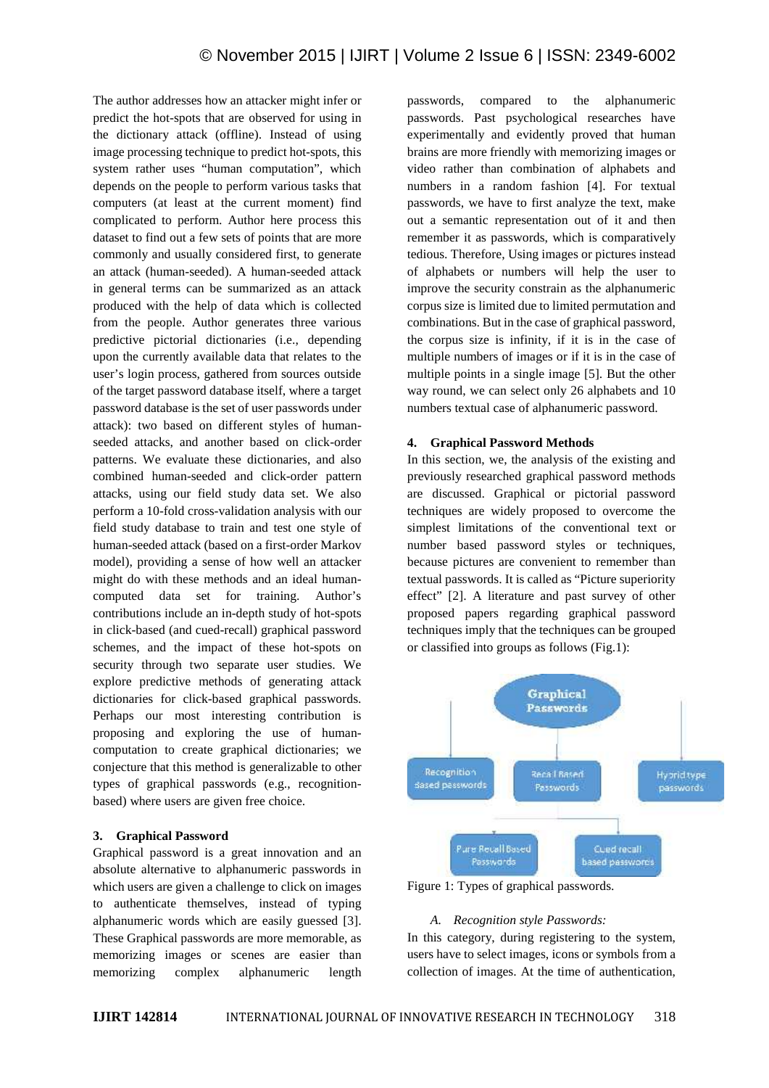The author addresses how an attacker might infer or predict the hot-spots that are observed for using in the dictionary attack (offline). Instead of using image processing technique to predict hot-spots, this system rather uses "human computation", which depends on the people to perform various tasks that computers (at least at the current moment) find complicated to perform. Author here process this dataset to find out a few sets of points that are more commonly and usually considered first, to generate an attack (human-seeded). A human-seeded attack in general terms can be summarized as an attack produced with the help of data which is collected from the people. Author generates three various predictive pictorial dictionaries (i.e., depending upon the currently available data that relates to the user's login process, gathered from sources outside of the target password database itself, where a target password database is the set of user passwords under attack): two based on different styles of human seeded attacks, and another based on click-order patterns. We evaluate these dictionaries, and also combined human-seeded and click-order pattern attacks, using our field study data set. We also perform a 10-fold cross-validation analysis with our field study database to train and test one style of human-seeded attack (based on a first-order Markov model), providing a sense of how well an attacker might do with these methods and an ideal human computed data set for training. Author's contributions include an in-depth study of hot-spots in click-based (and cued-recall) graphical password schemes, and the impact of these hot-spots on security through two separate user studies. We explore predictive methods of generating attack dictionaries for click-based graphical passwords. Perhaps our most interesting contribution is proposing and exploring the use of human computation to create graphical dictionaries; we conjecture that this method is generalizable to other types of graphical passwords (e.g., recognition based) where users are given free choice.

#### **3. Graphical Password**

Graphical password is a great innovation and an absolute alternative to alphanumeric passwords in which users are given a challenge to click on images to authenticate themselves, instead of typing alphanumeric words which are easily guessed [3]. These Graphical passwords are more memorable, as memorizing images or scenes are easier than memorizing complex alphanumeric length

passwords, compared to the alphanumeric passwords. Past psychological researches have experimentally and evidently proved that human brains are more friendly with memorizing images or video rather than combination of alphabets and numbers in a random fashion [4]. For textual passwords, we have to first analyze the text, make out a semantic representation out of it and then remember it as passwords, which is comparatively tedious. Therefore, Using images or pictures instead of alphabets or numbers will help the user to improve the security constrain as the alphanumeric corpus size is limited due to limited permutation and combinations. But in the case of graphical password, the corpus size is infinity, if it is in the case of multiple numbers of images or if it is in the case of multiple points in a single image [5]. But the other way round, we can select only 26 alphabets and 10 numbers textual case of alphanumeric password.

#### **4. Graphical Password Methods**

In this section, we, the analysis of the existing and previously researched graphical password methods are discussed. Graphical or pictorial password techniques are widely proposed to overcome the simplest limitations of the conventional text or number based password styles or techniques, because pictures are convenient to remember than textual passwords. It is called as "Picture superiority effect" [2]. A literature and past survey of other proposed papers regarding graphical password techniques imply that the techniques can be grouped or classified into groups as follows (Fig.1):



Figure 1: Types of graphical passwords.

#### *A. Recognition style Passwords:*

In this category, during registering to the system, users have to select images, icons or symbols from a collection of images. At the time of authentication,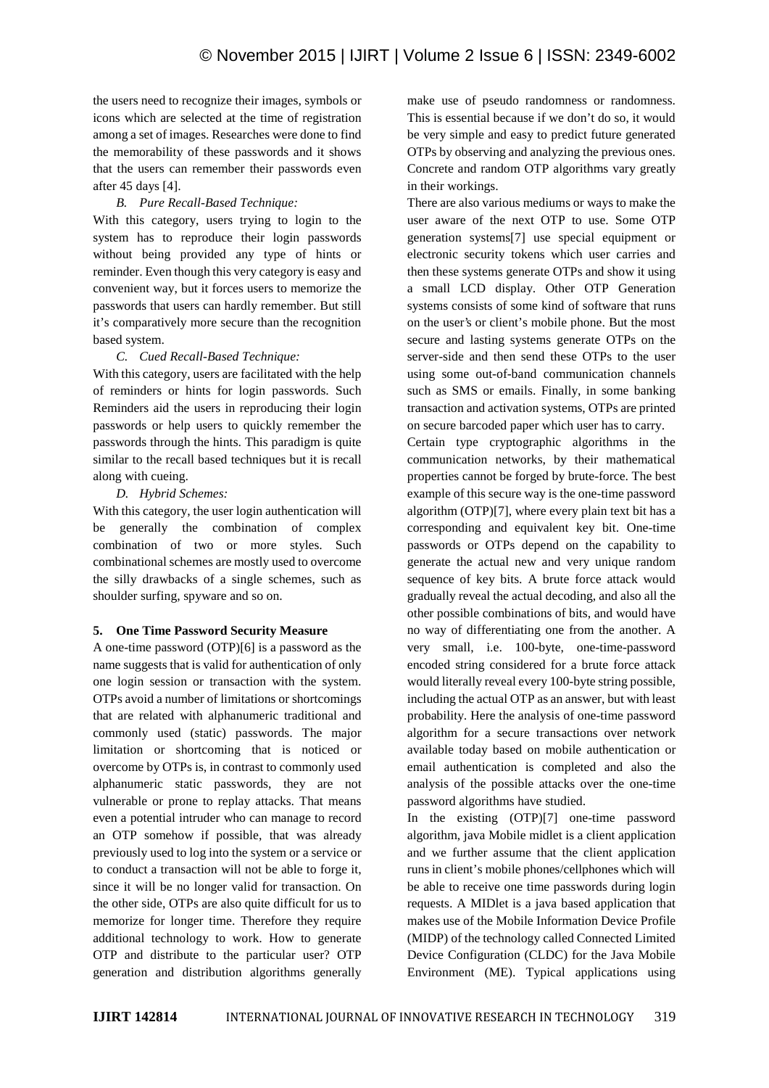the users need to recognize their images, symbols or icons which are selected at the time of registration among a set of images. Researches were done to find the memorability of these passwords and it shows that the users can remember their passwords even after 45 days [4].

## *B. Pure Recall-Based Technique:*

With this category, users trying to login to the system has to reproduce their login passwords without being provided any type of hints or reminder. Even though this very category is easy and convenient way, but it forces users to memorize the passwords that users can hardly remember. But still it's comparatively more secure than the recognition based system.

## *C. Cued Recall-Based Technique:*

With this category, users are facilitated with the help of reminders or hints for login passwords. Such Reminders aid the users in reproducing their login passwords or help users to quickly remember the passwords through the hints. This paradigm is quite similar to the recall based techniques but it is recall along with cueing.

## *D. Hybrid Schemes:*

With this category, the user login authentication will be generally the combination of complex combination of two or more styles. Such combinational schemes are mostly used to overcome the silly drawbacks of a single schemes, such as shoulder surfing, spyware and so on.

#### **5. One Time Password Security Measure**

A one-time password (OTP)[6] is a password as the name suggests that is valid for authentication of only one login session or transaction with the system. OTPs avoid a number of limitations or shortcomings that are related with alphanumeric traditional and commonly used (static) passwords. The major limitation or shortcoming that is noticed or overcome by OTPs is, in contrast to commonly used alphanumeric static passwords, they are not vulnerable or prone to replay attacks. That means even a potential intruder who can manage to record an OTP somehow if possible, that was already previously used to log into the system or a service or to conduct a transaction will not be able to forge it, since it will be no longer valid for transaction. On the other side, OTPs are also quite difficult for us to memorize for longer time. Therefore they require additional technology to work. How to generate OTP and distribute to the particular user? OTP generation and distribution algorithms generally

make use of pseudo randomness or randomness. This is essential because if we don't do so, it would be very simple and easy to predict future generated OTPs by observing and analyzing the previous ones. Concrete and random OTP algorithms vary greatly in their workings.

There are also various mediums or ways to make the user aware of the next OTP to use. Some OTP generation systems[7] use special equipment or electronic security tokens which user carries and then these systems generate OTPs and show it using a small LCD display. Other OTP Generation systems consists of some kind of software that runs on the user's or client's mobile phone. But the most secure and lasting systems generate OTPs on the server-side and then send these OTPs to the user using some out-of-band communication channels such as SMS or emails. Finally, in some banking transaction and activation systems, OTPs are printed on secure barcoded paper which user has to carry.

Certain type cryptographic algorithms in the communication networks, by their mathematical properties cannot be forged by brute-force. The best example of this secure way is the one-time password algorithm (OTP)[7], where every plain text bit has a corresponding and equivalent key bit. One-time passwords or OTPs depend on the capability to generate the actual new and very unique random sequence of key bits. A brute force attack would gradually reveal the actual decoding, and also all the other possible combinations of bits, and would have no way of differentiating one from the another. A very small, i.e. 100-byte, one-time-password encoded string considered for a brute force attack would literally reveal every 100-byte string possible, including the actual OTP as an answer, but with least probability. Here the analysis of one-time password algorithm for a secure transactions over network available today based on mobile authentication or email authentication is completed and also the analysis of the possible attacks over the one-time password algorithms have studied.

In the existing (OTP)[7] one-time password algorithm, java Mobile midlet is a client application and we further assume that the client application runs in client's mobile phones/cellphones which will be able to receive one time passwords during login requests. A MIDlet is a java based application that makes use of the Mobile Information Device Profile (MIDP) of the technology called Connected Limited Device Configuration (CLDC) for the Java Mobile Environment (ME). Typical applications using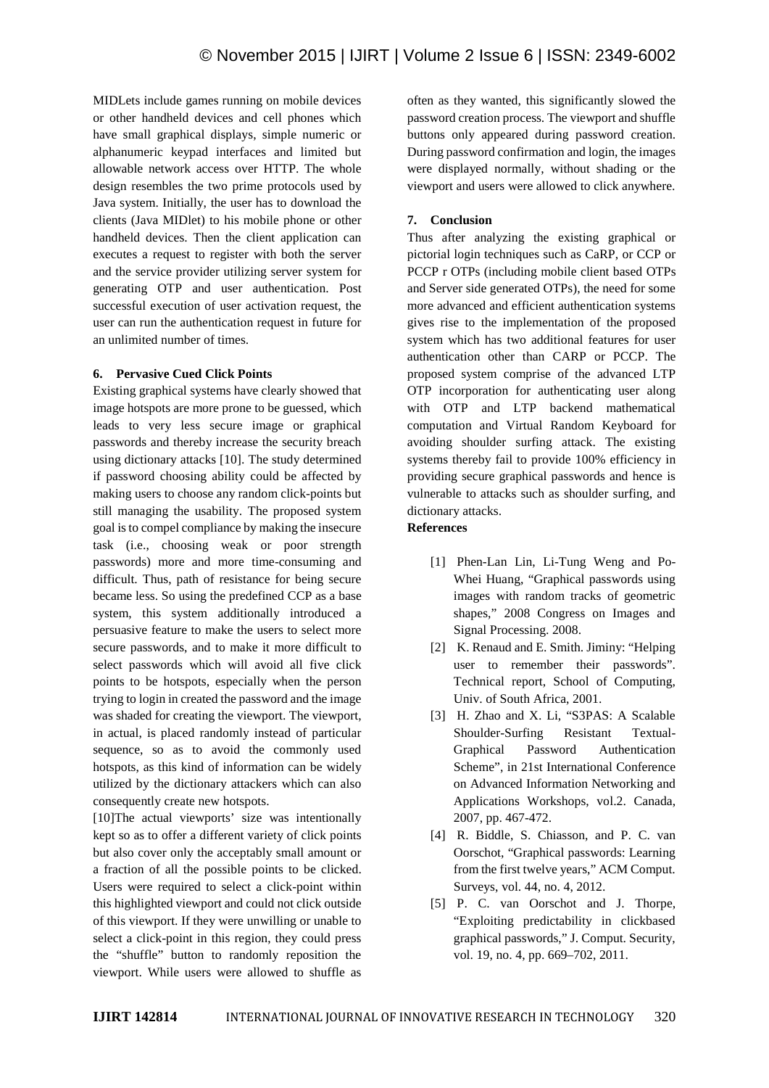MIDLets include games running on mobile devices or other handheld devices and cell phones which have small graphical displays, simple numeric or alphanumeric keypad interfaces and limited but allowable network access over HTTP. The whole design resembles the two prime protocols used by Java system. Initially, the user has to download the clients (Java MIDlet) to his mobile phone or other handheld devices. Then the client application can executes a request to register with both the server and the service provider utilizing server system for generating OTP and user authentication. Post successful execution of user activation request, the user can run the authentication request in future for an unlimited number of times.

## **6. Pervasive Cued Click Points**

Existing graphical systems have clearly showed that image hotspots are more prone to be guessed, which leads to very less secure image or graphical passwords and thereby increase the security breach using dictionary attacks [10]. The study determined if password choosing ability could be affected by making users to choose any random click-points but still managing the usability. The proposed system goal is to compel compliance by making the insecure task (i.e., choosing weak or poor strength passwords) more and more time-consuming and difficult. Thus, path of resistance for being secure became less. So using the predefined CCP as a base system, this system additionally introduced a persuasive feature to make the users to select more secure passwords, and to make it more difficult to select passwords which will avoid all five click points to be hotspots, especially when the person trying to login in created the password and the image was shaded for creating the viewport. The viewport, in actual, is placed randomly instead of particular sequence, so as to avoid the commonly used hotspots, as this kind of information can be widely utilized by the dictionary attackers which can also consequently create new hotspots.

[10]The actual viewports' size was intentionally kept so as to offer a different variety of click points but also cover only the acceptably small amount or a fraction of all the possible points to be clicked. Users were required to select a click-point within this highlighted viewport and could not click outside of this viewport. If they were unwilling or unable to select a click-point in this region, they could press the "shuffle" button to randomly reposition the viewport. While users were allowed to shuffle as

often as they wanted, this significantly slowed the password creation process. The viewport and shuffle buttons only appeared during password creation. During password confirmation and login, the images were displayed normally, without shading or the viewport and users were allowed to click anywhere.

## **7. Conclusion**

Thus after analyzing the existing graphical or pictorial login techniques such as CaRP, or CCP or PCCP r OTPs (including mobile client based OTPs and Server side generated OTPs), the need for some more advanced and efficient authentication systems gives rise to the implementation of the proposed system which has two additional features for user authentication other than CARP or PCCP. The proposed system comprise of the advanced LTP OTP incorporation for authenticating user along with OTP and LTP backend mathematical computation and Virtual Random Keyboard for avoiding shoulder surfing attack. The existing systems thereby fail to provide 100% efficiency in providing secure graphical passwords and hence is vulnerable to attacks such as shoulder surfing, and dictionary attacks.

# **References**

- [1] Phen-Lan Lin, Li-Tung Weng and Po-Whei Huang, "Graphical passwords using images with random tracks of geometric shapes," 2008 Congress on Images and Signal Processing. 2008.
- [2] K. Renaud and E. Smith. Jiminy: "Helping user to remember their passwords". Technical report, School of Computing, Univ. of South Africa, 2001.
- [3] H. Zhao and X. Li, "S3PAS: A Scalable Shoulder-Surfing Resistant Textual- Graphical Password Authentication Scheme", in 21st International Conference on Advanced Information Networking and Applications Workshops, vol.2. Canada, 2007, pp. 467-472.
- [4] R. Biddle, S. Chiasson, and P. C. van Oorschot, "Graphical passwords: Learning from the first twelve years," ACM Comput. Surveys, vol. 44, no. 4, 2012.
- [5] P. C. van Oorschot and J. Thorpe, "Exploiting predictability in clickbased graphical passwords," J. Comput. Security, vol. 19, no. 4, pp. 669–702, 2011.